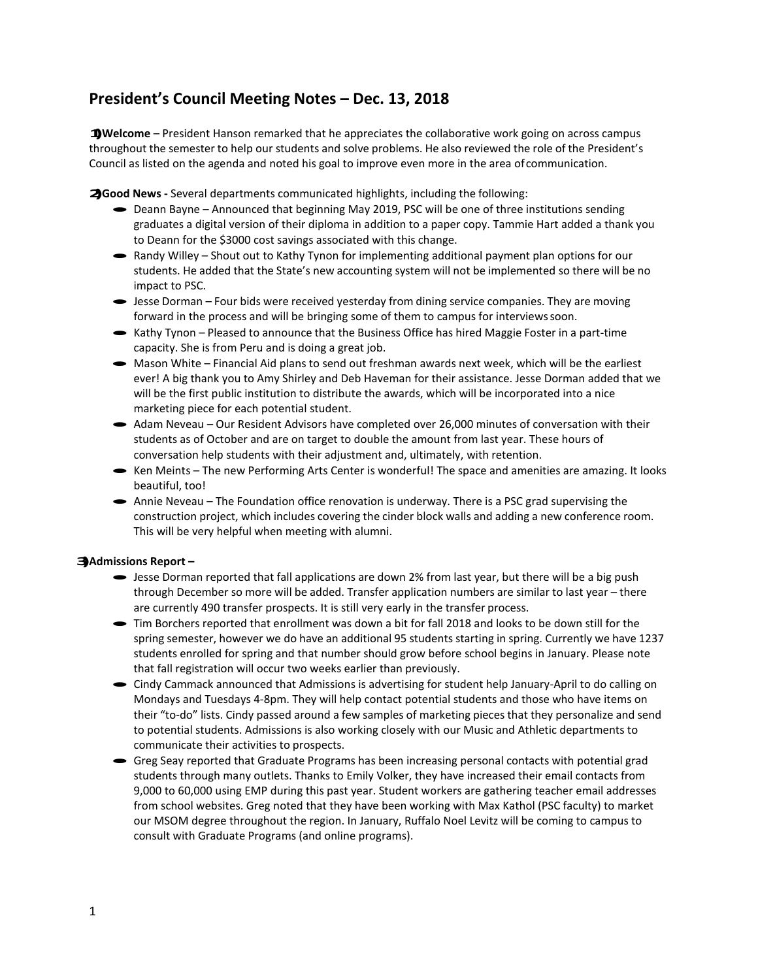## **President's Council Meeting Notes – Dec. 13, 2018**

**1)Welcome** – President Hanson remarked that he appreciates the collaborative work going on across campus throughout the semester to help our students and solve problems. He also reviewed the role of the President's Council as listed on the agenda and noted his goal to improve even more in the area ofcommunication.

**2)Good News -** Several departments communicated highlights, including the following:

- · Deann Bayne Announced that beginning May 2019, PSC will be one of three institutions sending graduates a digital version of their diploma in addition to a paper copy. Tammie Hart added a thank you to Deann for the \$3000 cost savings associated with this change.
- Randy Willey Shout out to Kathy Tynon for implementing additional payment plan options for our students. He added that the State's new accounting system will not be implemented so there will be no impact to PSC.
- · Jesse Dorman Four bids were received yesterday from dining service companies. They are moving forward in the process and will be bringing some of them to campus for interviewssoon.
- Kathy Tynon Pleased to announce that the Business Office has hired Maggie Foster in a part-time capacity. She is from Peru and is doing a great job.
- Mason White Financial Aid plans to send out freshman awards next week, which will be the earliest ever! A big thank you to Amy Shirley and Deb Haveman for their assistance. Jesse Dorman added that we will be the first public institution to distribute the awards, which will be incorporated into a nice marketing piece for each potential student.
- · Adam Neveau Our Resident Advisors have completed over 26,000 minutes of conversation with their students as of October and are on target to double the amount from last year. These hours of conversation help students with their adjustment and, ultimately, with retention.
- · Ken Meints The new Performing Arts Center is wonderful! The space and amenities are amazing. It looks beautiful, too!
- · Annie Neveau The Foundation office renovation is underway. There is a PSC grad supervising the construction project, which includes covering the cinder block walls and adding a new conference room. This will be very helpful when meeting with alumni.

## **3)Admissions Report –**

- Jesse Dorman reported that fall applications are down 2% from last year, but there will be a big push through December so more will be added. Transfer application numbers are similar to last year – there are currently 490 transfer prospects. It is still very early in the transfer process.
- · Tim Borchers reported that enrollment was down a bit for fall 2018 and looks to be down still for the spring semester, however we do have an additional 95 students starting in spring. Currently we have 1237 students enrolled for spring and that number should grow before school begins in January. Please note that fall registration will occur two weeks earlier than previously.
- · Cindy Cammack announced that Admissions is advertising for student help January-April to do calling on Mondays and Tuesdays 4-8pm. They will help contact potential students and those who have items on their "to-do" lists. Cindy passed around a few samples of marketing pieces that they personalize and send to potential students. Admissions is also working closely with our Music and Athletic departments to communicate their activities to prospects.
- · Greg Seay reported that Graduate Programs has been increasing personal contacts with potential grad students through many outlets. Thanks to Emily Volker, they have increased their email contacts from 9,000 to 60,000 using EMP during this past year. Student workers are gathering teacher email addresses from school websites. Greg noted that they have been working with Max Kathol (PSC faculty) to market our MSOM degree throughout the region. In January, Ruffalo Noel Levitz will be coming to campus to consult with Graduate Programs (and online programs).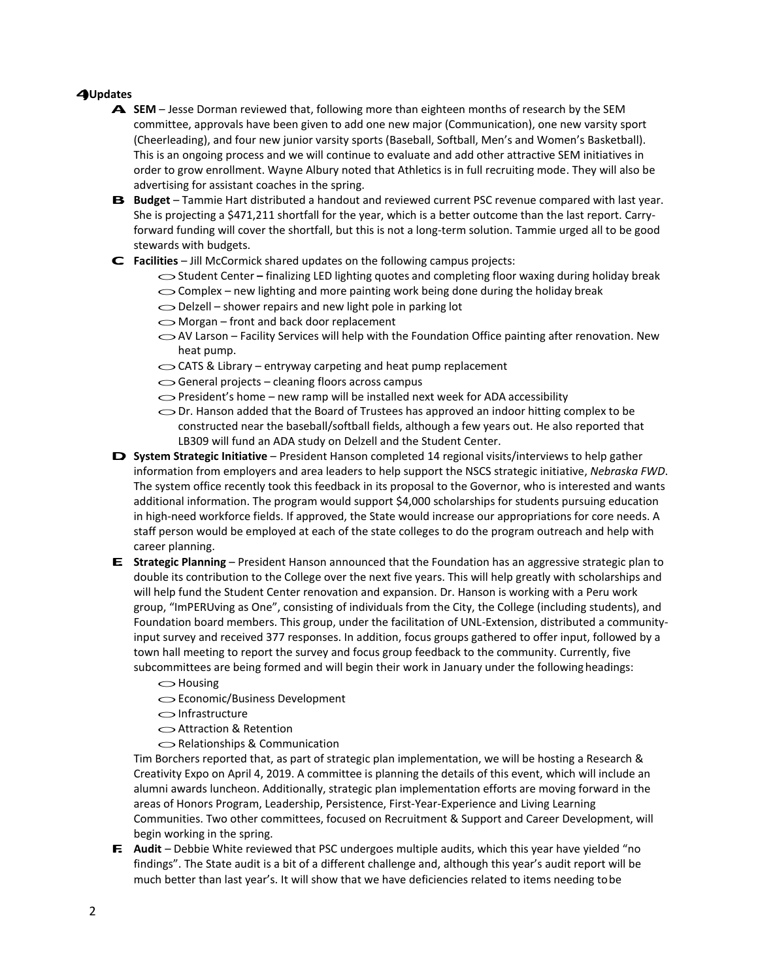## **4)Updates**

- **A. SEM**  Jesse Dorman reviewed that, following more than eighteen months of research by the SEM committee, approvals have been given to add one new major (Communication), one new varsity sport (Cheerleading), and four new junior varsity sports (Baseball, Softball, Men's and Women's Basketball). This is an ongoing process and we will continue to evaluate and add other attractive SEM initiatives in order to grow enrollment. Wayne Albury noted that Athletics is in full recruiting mode. They will also be advertising for assistant coaches in the spring.
- **B.** Budget Tammie Hart distributed a handout and reviewed current PSC revenue compared with last year. She is projecting a \$471,211 shortfall for the year, which is a better outcome than the last report. Carryforward funding will cover the shortfall, but this is not a long-term solution. Tammie urged all to be good stewards with budgets.
- **C. Facilities**  Jill McCormick shared updates on the following campus projects:
	- oStudent Center **–** finalizing LED lighting quotes and completing floor waxing during holiday break ◯ Student Center – finalizing LED lighting quotes and completing floor waxing during ho<br>
	◯ Complex – new lighting and more painting work being done during the holiday break
	- Oomplex new lighting and more painting work being do<br>
	Obelzell shower repairs and new light pole in parking lot
	- $\bigcirc$  Delzell shower repairs and new light pole in parking lot  $\bigcirc$  Morgan front and back door replacement
	-
	- $\sim$  AV Larson Facility Services will help with the Foundation Office painting after renovation. New heat pump. heat pump.<br>  $\bigcirc$  CATS & Library – entryway carpeting and heat pump replacement
	- GATS & Library entryway carpeting and heat pu<br>
	General projects cleaning floors across campus
	-
	- ◯ General projects cleaning floors across campus<br>
	OPresident's home new ramp will be installed next week for ADA accessibility
	- ◯ President's home new ramp will be installed next week for ADA accessibility<br>
	◯ Dr. Hanson added that the Board of Trustees has approved an indoor hitting complex to be constructed near the baseball/softball fields, although a few years out. He also reported that LB309 will fund an ADA study on Delzell and the Student Center.
- **D. System Strategic Initiative**  President Hanson completed 14 regional visits/interviews to help gather information from employers and area leaders to help support the NSCS strategic initiative, *Nebraska FWD*. The system office recently took this feedback in its proposal to the Governor, who is interested and wants additional information. The program would support \$4,000 scholarships for students pursuing education in high-need workforce fields. If approved, the State would increase our appropriations for core needs. A staff person would be employed at each of the state colleges to do the program outreach and help with career planning.
- **E. Strategic Planning**  President Hanson announced that the Foundation has an aggressive strategic plan to double its contribution to the College over the next five years. This will help greatly with scholarships and will help fund the Student Center renovation and expansion. Dr. Hanson is working with a Peru work group, "ImPERUving as One", consisting of individuals from the City, the College (including students), and Foundation board members. This group, under the facilitation of UNL-Extension, distributed a communityinput survey and received 377 responses. In addition, focus groups gathered to offer input, followed by a town hall meeting to report the survey and focus group feedback to the community. Currently, five subcommittees are being formed and will begin their work in January under the following headings:<br>
integral of the following headings:<br>
and the state of their work in January under the following headings:
	-
	- **O**Housing<br> **○Economic/Business Development**
	- $\bigcirc$ Infrastructure
	- oAttraction & Retention
	- $\bigcirc$  Relationships & Communication

Tim Borchers reported that, as part of strategic plan implementation, we will be hosting a Research & Creativity Expo on April 4, 2019. A committee is planning the details of this event, which will include an alumni awards luncheon. Additionally, strategic plan implementation efforts are moving forward in the areas of Honors Program, Leadership, Persistence, First-Year-Experience and Living Learning Communities. Two other committees, focused on Recruitment & Support and Career Development, will begin working in the spring.

**F.** Audit – Debbie White reviewed that PSC undergoes multiple audits, which this year have yielded "no findings". The State audit is a bit of a different challenge and, although this year's audit report will be much better than last year's. It will show that we have deficiencies related to items needing tobe